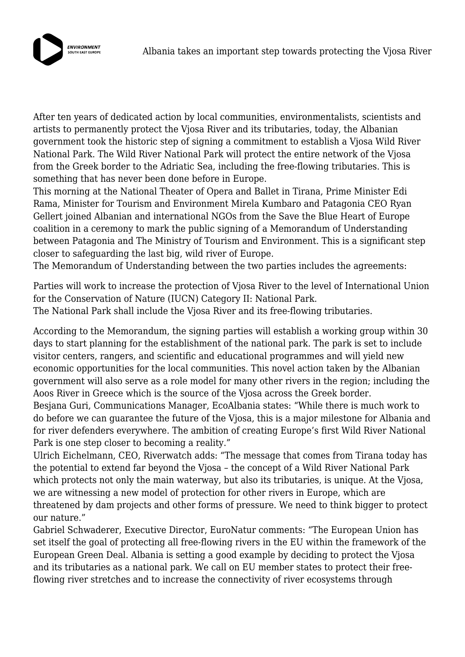

After ten years of dedicated action by local communities, environmentalists, scientists and artists to permanently protect the Vjosa River and its tributaries, today, the Albanian government took the historic step of signing a commitment to establish a Vjosa Wild River National Park. The Wild River National Park will protect the entire network of the Vjosa from the Greek border to the Adriatic Sea, including the free-flowing tributaries. This is something that has never been done before in Europe.

This morning at the National Theater of Opera and Ballet in Tirana, Prime Minister Edi Rama, Minister for Tourism and Environment Mirela Kumbaro and Patagonia CEO Ryan Gellert joined Albanian and international NGOs from the Save the Blue Heart of Europe coalition in a ceremony to mark the public signing of a Memorandum of Understanding between Patagonia and The Ministry of Tourism and Environment. This is a significant step closer to safeguarding the last big, wild river of Europe.

The Memorandum of Understanding between the two parties includes the agreements:

Parties will work to increase the protection of Vjosa River to the level of International Union for the Conservation of Nature (IUCN) Category II: National Park. The National Park shall include the Vjosa River and its free-flowing tributaries.

According to the Memorandum, the signing parties will establish a working group within 30 days to start planning for the establishment of the national park. The park is set to include visitor centers, rangers, and scientific and educational programmes and will yield new economic opportunities for the local communities. This novel action taken by the Albanian government will also serve as a role model for many other rivers in the region; including the Aoos River in Greece which is the source of the Vjosa across the Greek border.

Besjana Guri, Communications Manager, EcoAlbania states: "While there is much work to do before we can guarantee the future of the Vjosa, this is a major milestone for Albania and for river defenders everywhere. The ambition of creating Europe's first Wild River National Park is one step closer to becoming a reality."

Ulrich Eichelmann, CEO, Riverwatch adds: "The message that comes from Tirana today has the potential to extend far beyond the Vjosa – the concept of a Wild River National Park which protects not only the main waterway, but also its tributaries, is unique. At the Vjosa, we are witnessing a new model of protection for other rivers in Europe, which are threatened by dam projects and other forms of pressure. We need to think bigger to protect our nature."

Gabriel Schwaderer, Executive Director, EuroNatur comments: "The European Union has set itself the goal of protecting all free-flowing rivers in the EU within the framework of the European Green Deal. Albania is setting a good example by deciding to protect the Vjosa and its tributaries as a national park. We call on EU member states to protect their freeflowing river stretches and to increase the connectivity of river ecosystems through